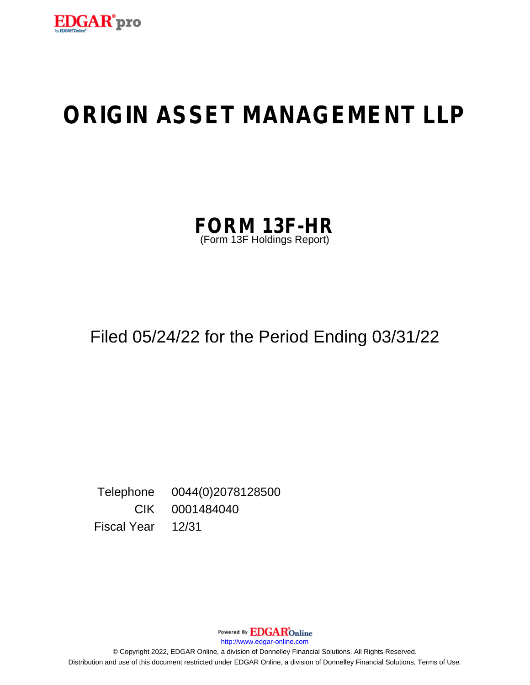

# **ORIGIN ASSET MANAGEMENT LLP**

| <b>FORM 13F-HR</b>         |  |
|----------------------------|--|
| (Form 13F Holdings Report) |  |

# Filed 05/24/22 for the Period Ending 03/31/22

Telephone 0044(0)2078128500 CIK 0001484040 Fiscal Year 12/31

Powered By EDGAROnline

http://www.edgar-online.com

© Copyright 2022, EDGAR Online, a division of Donnelley Financial Solutions. All Rights Reserved. Distribution and use of this document restricted under EDGAR Online, a division of Donnelley Financial Solutions, Terms of Use.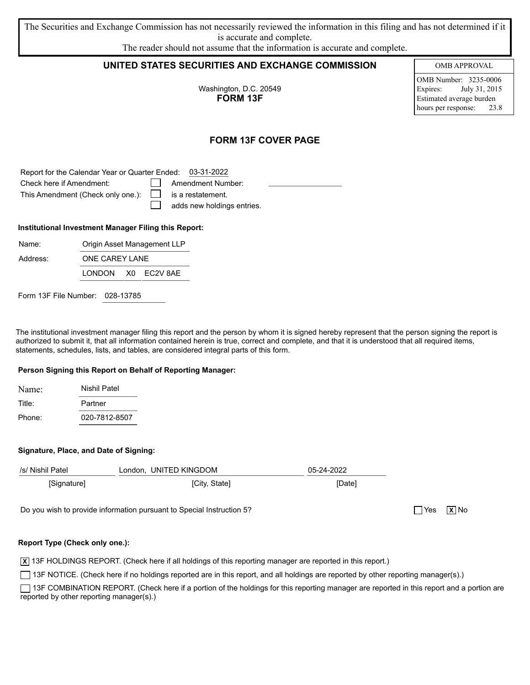| The Securities and Exchange Commission has not necessarily reviewed the information in this filing and has not determined if it |
|---------------------------------------------------------------------------------------------------------------------------------|
| is accurate and complete.                                                                                                       |
| The reader should not assume that the information is accurate and complete.                                                     |

### UNITED STATES SECURITIES AND EXCHANGE COMMISSION

Washington, D.C. 20549 **FORM 13F** 

**OMB APPROVAL** 

OMB Number: 3235-0006 Expires: July 31, 2015 Estimated average burden hours per response: 23.8

 $\Box$  Yes  $\Box$  No

## **FORM 13F COVER PAGE**

Report for the Calendar Year or Quarter Ended: 03-31-2022

| Check here if Amendment:                                   | Amendment Number:                 |
|------------------------------------------------------------|-----------------------------------|
| This Amendment (Check only one.): $\Box$ is a restatement. |                                   |
|                                                            | $\Box$ adds new holdings entries. |

#### Institutional Investment Manager Filing this Report:

**ONE CAREY LANE** 

| Name: | Origin |
|-------|--------|
|       |        |

Address:

LONDON X0 EC2V 8AE

Asset Management LLP

Form 13F File Number: 028-13785

The institutional investment manager filing this report and the person by whom it is signed hereby represent that the person signing the report is authorized to submit it, that all information contained herein is true, correct and complete, and that it is understood that all required items, statements, schedules, lists, and tables, are considered integral parts of this form.

#### Person Signing this Report on Behalf of Reporting Manager:

| Name:  | Nishil Patel  |
|--------|---------------|
| Title: | Partner       |
| Phone: | 020-7812-8507 |

#### Signature, Place, and Date of Signing:

| /s/ Nishil Patel | London, UNITED KINGDOM | 05-24-2022 |
|------------------|------------------------|------------|
| [Signature]      | [City, State]          | [Date]     |
|                  |                        |            |

Do you wish to provide information pursuant to Special Instruction 5?

#### Report Type (Check only one.):

 $\overline{X}$  13F HOLDINGS REPORT. (Check here if all holdings of this reporting manager are reported in this report.)

13F NOTICE. (Check here if no holdings reported are in this report, and all holdings are reported by other reporting manager(s).)

13F COMBINATION REPORT. (Check here if a portion of the holdings for this reporting manager are reported in this report and a portion are reported by other reporting manager(s).)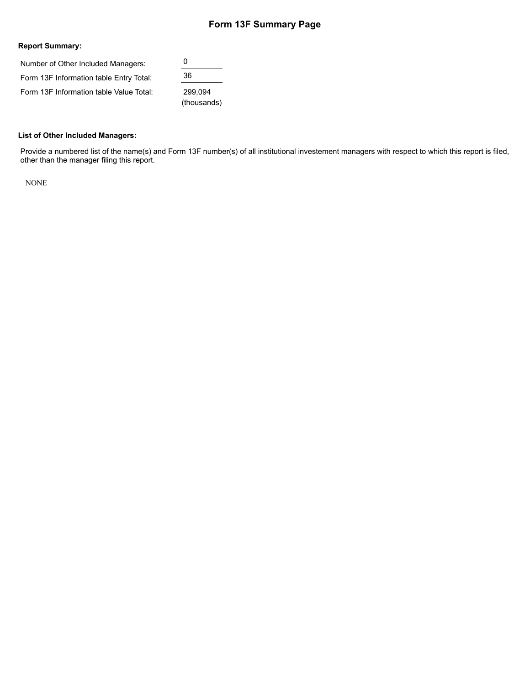# **Form 13F Summary Page**

#### **Report Summary:**

| Number of Other Included Managers:      | 0           |  |  |  |
|-----------------------------------------|-------------|--|--|--|
| Form 13F Information table Entry Total: | 36          |  |  |  |
| Form 13F Information table Value Total: | 299,094     |  |  |  |
|                                         | (thousands) |  |  |  |

#### **List of Other Included Managers:**

Provide a numbered list of the name(s) and Form 13F number(s) of all institutional investement managers with respect to which this report is filed, other than the manager filing this report.

NONE